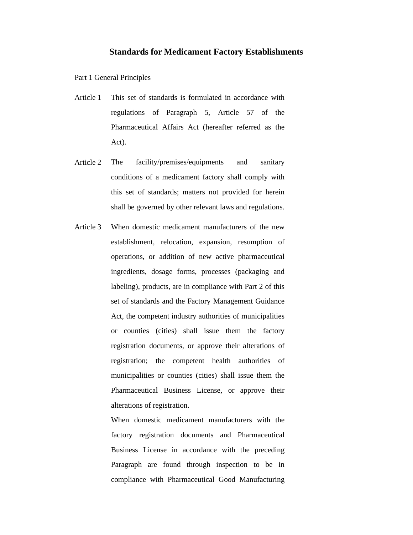## **Standards for Medicament Factory Establishments**

Part 1 General Principles

- Article 1 This set of standards is formulated in accordance with regulations of Paragraph 5, Article 57 of the Pharmaceutical Affairs Act (hereafter referred as the Act).
- Article 2 The facility/premises/equipments and sanitary conditions of a medicament factory shall comply with this set of standards; matters not provided for herein shall be governed by other relevant laws and regulations.
- Article 3 When domestic medicament manufacturers of the new establishment, relocation, expansion, resumption of operations, or addition of new active pharmaceutical ingredients, dosage forms, processes (packaging and labeling), products, are in compliance with Part 2 of this set of standards and the Factory Management Guidance Act, the competent industry authorities of municipalities or counties (cities) shall issue them the factory registration documents, or approve their alterations of registration; the competent health authorities of municipalities or counties (cities) shall issue them the Pharmaceutical Business License, or approve their alterations of registration.

When domestic medicament manufacturers with the factory registration documents and Pharmaceutical Business License in accordance with the preceding Paragraph are found through inspection to be in compliance with Pharmaceutical Good Manufacturing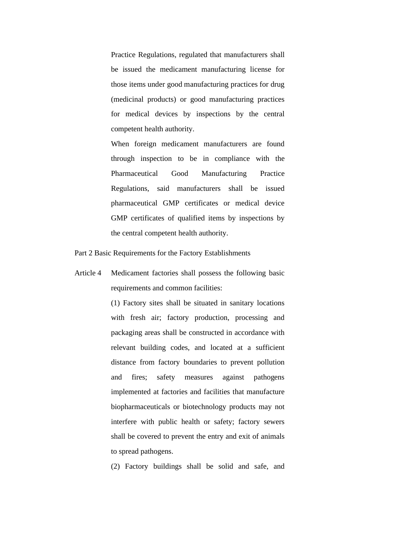Practice Regulations, regulated that manufacturers shall be issued the medicament manufacturing license for those items under good manufacturing practices for drug (medicinal products) or good manufacturing practices for medical devices by inspections by the central competent health authority.

When foreign medicament manufacturers are found through inspection to be in compliance with the Pharmaceutical Good Manufacturing Practice Regulations, said manufacturers shall be issued pharmaceutical GMP certificates or medical device GMP certificates of qualified items by inspections by the central competent health authority.

Part 2 Basic Requirements for the Factory Establishments

Article 4 Medicament factories shall possess the following basic requirements and common facilities:

> (1) Factory sites shall be situated in sanitary locations with fresh air; factory production, processing and packaging areas shall be constructed in accordance with relevant building codes, and located at a sufficient distance from factory boundaries to prevent pollution and fires; safety measures against pathogens implemented at factories and facilities that manufacture biopharmaceuticals or biotechnology products may not interfere with public health or safety; factory sewers shall be covered to prevent the entry and exit of animals to spread pathogens.

> (2) Factory buildings shall be solid and safe, and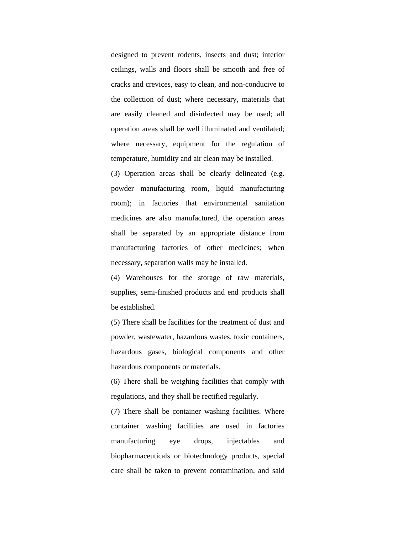designed to prevent rodents, insects and dust; interior ceilings, walls and floors shall be smooth and free of cracks and crevices, easy to clean, and non-conducive to the collection of dust; where necessary, materials that are easily cleaned and disinfected may be used; all operation areas shall be well illuminated and ventilated; where necessary, equipment for the regulation of temperature, humidity and air clean may be installed.

(3) Operation areas shall be clearly delineated (e.g. powder manufacturing room, liquid manufacturing room); in factories that environmental sanitation medicines are also manufactured, the operation areas shall be separated by an appropriate distance from manufacturing factories of other medicines; when necessary, separation walls may be installed.

(4) Warehouses for the storage of raw materials, supplies, semi-finished products and end products shall be established.

(5) There shall be facilities for the treatment of dust and powder, wastewater, hazardous wastes, toxic containers, hazardous gases, biological components and other hazardous components or materials.

(6) There shall be weighing facilities that comply with regulations, and they shall be rectified regularly.

(7) There shall be container washing facilities. Where container washing facilities are used in factories manufacturing eye drops, injectables and biopharmaceuticals or biotechnology products, special care shall be taken to prevent contamination, and said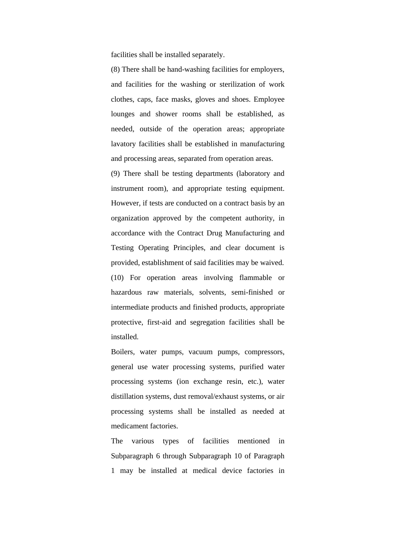facilities shall be installed separately.

(8) There shall be hand-washing facilities for employers, and facilities for the washing or sterilization of work clothes, caps, face masks, gloves and shoes. Employee lounges and shower rooms shall be established, as needed, outside of the operation areas; appropriate lavatory facilities shall be established in manufacturing and processing areas, separated from operation areas.

(9) There shall be testing departments (laboratory and instrument room), and appropriate testing equipment. However, if tests are conducted on a contract basis by an organization approved by the competent authority, in accordance with the Contract Drug Manufacturing and Testing Operating Principles, and clear document is provided, establishment of said facilities may be waived. (10) For operation areas involving flammable or hazardous raw materials, solvents, semi-finished or intermediate products and finished products, appropriate protective, first-aid and segregation facilities shall be installed.

Boilers, water pumps, vacuum pumps, compressors, general use water processing systems, purified water processing systems (ion exchange resin, etc.), water distillation systems, dust removal/exhaust systems, or air processing systems shall be installed as needed at medicament factories.

The various types of facilities mentioned in Subparagraph 6 through Subparagraph 10 of Paragraph 1 may be installed at medical device factories in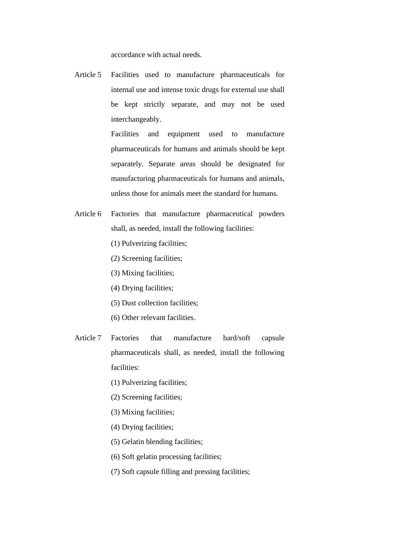accordance with actual needs.

Article 5 Facilities used to manufacture pharmaceuticals for internal use and intense toxic drugs for external use shall be kept strictly separate, and may not be used interchangeably.

> Facilities and equipment used to manufacture pharmaceuticals for humans and animals should be kept separately. Separate areas should be designated for manufacturing pharmaceuticals for humans and animals, unless those for animals meet the standard for humans.

- Article 6 Factories that manufacture pharmaceutical powders shall, as needed, install the following facilities:
	- (1) Pulverizing facilities;
	- (2) Screening facilities;
	- (3) Mixing facilities;
	- (4) Drying facilities;
	- (5) Dust collection facilities;
	- (6) Other relevant facilities.
- Article 7 Factories that manufacture hard/soft capsule pharmaceuticals shall, as needed, install the following facilities:
	- (1) Pulverizing facilities;
	- (2) Screening facilities;
	- (3) Mixing facilities;
	- (4) Drying facilities;
	- (5) Gelatin blending facilities;
	- (6) Soft gelatin processing facilities;
	- (7) Soft capsule filling and pressing facilities;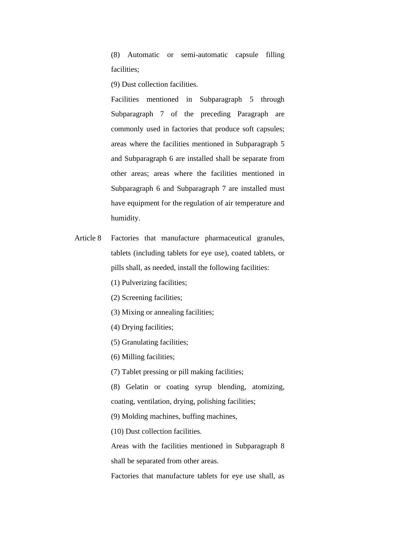(8) Automatic or semi-automatic capsule filling facilities;

(9) Dust collection facilities.

Facilities mentioned in Subparagraph 5 through Subparagraph 7 of the preceding Paragraph are commonly used in factories that produce soft capsules; areas where the facilities mentioned in Subparagraph 5 and Subparagraph 6 are installed shall be separate from other areas; areas where the facilities mentioned in Subparagraph 6 and Subparagraph 7 are installed must have equipment for the regulation of air temperature and humidity.

- Article 8 Factories that manufacture pharmaceutical granules, tablets (including tablets for eye use), coated tablets, or pills shall, as needed, install the following facilities:
	- (1) Pulverizing facilities;
	- (2) Screening facilities;
	- (3) Mixing or annealing facilities;
	- (4) Drying facilities;
	- (5) Granulating facilities;
	- (6) Milling facilities;

(7) Tablet pressing or pill making facilities;

(8) Gelatin or coating syrup blending, atomizing, coating, ventilation, drying, polishing facilities;

(9) Molding machines, buffing machines,

(10) Dust collection facilities.

Areas with the facilities mentioned in Subparagraph 8 shall be separated from other areas.

Factories that manufacture tablets for eye use shall, as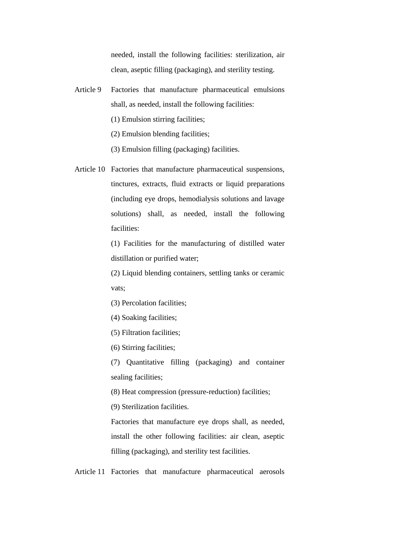needed, install the following facilities: sterilization, air clean, aseptic filling (packaging), and sterility testing.

- Article 9 Factories that manufacture pharmaceutical emulsions shall, as needed, install the following facilities:
	- (1) Emulsion stirring facilities;
	- (2) Emulsion blending facilities;
	- (3) Emulsion filling (packaging) facilities.
- Article 10 Factories that manufacture pharmaceutical suspensions, tinctures, extracts, fluid extracts or liquid preparations (including eye drops, hemodialysis solutions and lavage solutions) shall, as needed, install the following facilities:

(1) Facilities for the manufacturing of distilled water distillation or purified water;

(2) Liquid blending containers, settling tanks or ceramic vats;

- (3) Percolation facilities;
- (4) Soaking facilities;
- (5) Filtration facilities;
- (6) Stirring facilities;

(7) Quantitative filling (packaging) and container sealing facilities;

(8) Heat compression (pressure-reduction) facilities;

(9) Sterilization facilities.

Factories that manufacture eye drops shall, as needed, install the other following facilities: air clean, aseptic filling (packaging), and sterility test facilities.

Article 11 Factories that manufacture pharmaceutical aerosols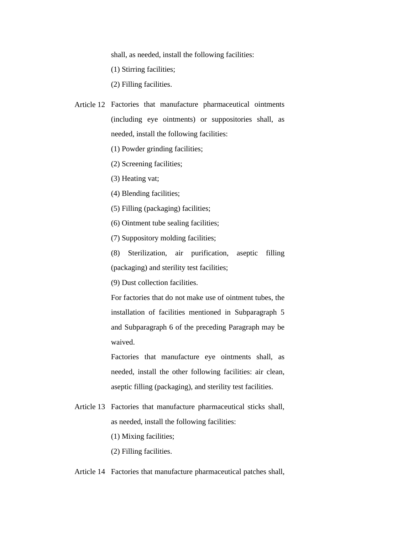shall, as needed, install the following facilities:

(1) Stirring facilities;

(2) Filling facilities.

- Article 12 Factories that manufacture pharmaceutical ointments (including eye ointments) or suppositories shall, as needed, install the following facilities:
	- (1) Powder grinding facilities;
	- (2) Screening facilities;

(3) Heating vat;

(4) Blending facilities;

(5) Filling (packaging) facilities;

(6) Ointment tube sealing facilities;

(7) Suppository molding facilities;

(8) Sterilization, air purification, aseptic filling (packaging) and sterility test facilities;

(9) Dust collection facilities.

For factories that do not make use of ointment tubes, the installation of facilities mentioned in Subparagraph 5 and Subparagraph 6 of the preceding Paragraph may be waived.

Factories that manufacture eye ointments shall, as needed, install the other following facilities: air clean, aseptic filling (packaging), and sterility test facilities.

Article 13 Factories that manufacture pharmaceutical sticks shall, as needed, install the following facilities:

(1) Mixing facilities;

(2) Filling facilities.

Article 14 Factories that manufacture pharmaceutical patches shall,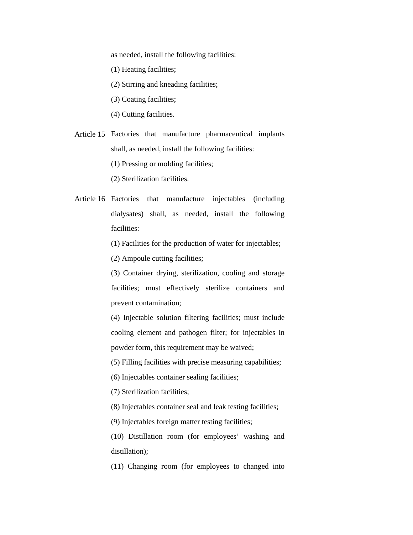as needed, install the following facilities:

(1) Heating facilities;

(2) Stirring and kneading facilities;

(3) Coating facilities;

(4) Cutting facilities.

Article 15 Factories that manufacture pharmaceutical implants shall, as needed, install the following facilities:

(1) Pressing or molding facilities;

(2) Sterilization facilities.

Article 16 Factories that manufacture injectables (including dialysates) shall, as needed, install the following facilities:

(1) Facilities for the production of water for injectables;

(2) Ampoule cutting facilities;

(3) Container drying, sterilization, cooling and storage facilities; must effectively sterilize containers and prevent contamination;

(4) Injectable solution filtering facilities; must include cooling element and pathogen filter; for injectables in powder form, this requirement may be waived;

(5) Filling facilities with precise measuring capabilities;

(6) Injectables container sealing facilities;

(7) Sterilization facilities;

(8) Injectables container seal and leak testing facilities;

(9) Injectables foreign matter testing facilities;

(10) Distillation room (for employees' washing and distillation);

(11) Changing room (for employees to changed into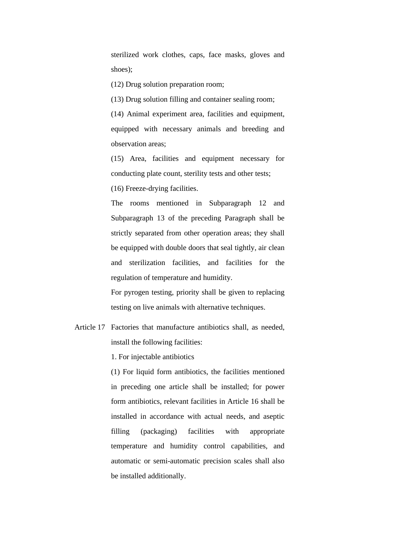sterilized work clothes, caps, face masks, gloves and shoes);

(12) Drug solution preparation room;

(13) Drug solution filling and container sealing room;

(14) Animal experiment area, facilities and equipment, equipped with necessary animals and breeding and observation areas;

(15) Area, facilities and equipment necessary for conducting plate count, sterility tests and other tests;

(16) Freeze-drying facilities.

The rooms mentioned in Subparagraph 12 and Subparagraph 13 of the preceding Paragraph shall be strictly separated from other operation areas; they shall be equipped with double doors that seal tightly, air clean and sterilization facilities, and facilities for the regulation of temperature and humidity.

For pyrogen testing, priority shall be given to replacing testing on live animals with alternative techniques.

Article 17 Factories that manufacture antibiotics shall, as needed, install the following facilities:

1. For injectable antibiotics

(1) For liquid form antibiotics, the facilities mentioned in preceding one article shall be installed; for power form antibiotics, relevant facilities in Article 16 shall be installed in accordance with actual needs, and aseptic filling (packaging) facilities with appropriate temperature and humidity control capabilities, and automatic or semi-automatic precision scales shall also be installed additionally.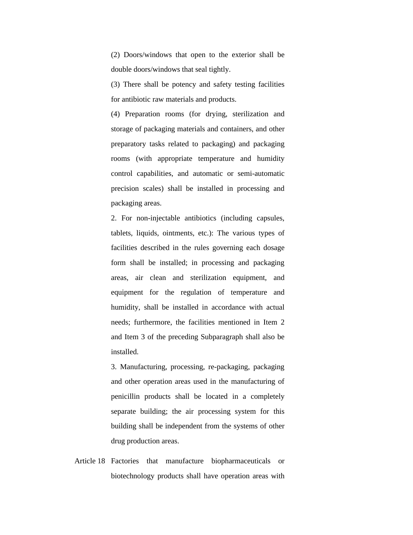(2) Doors/windows that open to the exterior shall be double doors/windows that seal tightly.

(3) There shall be potency and safety testing facilities for antibiotic raw materials and products.

(4) Preparation rooms (for drying, sterilization and storage of packaging materials and containers, and other preparatory tasks related to packaging) and packaging rooms (with appropriate temperature and humidity control capabilities, and automatic or semi-automatic precision scales) shall be installed in processing and packaging areas.

2. For non-injectable antibiotics (including capsules, tablets, liquids, ointments, etc.): The various types of facilities described in the rules governing each dosage form shall be installed; in processing and packaging areas, air clean and sterilization equipment, and equipment for the regulation of temperature and humidity, shall be installed in accordance with actual needs; furthermore, the facilities mentioned in Item 2 and Item 3 of the preceding Subparagraph shall also be installed.

3. Manufacturing, processing, re-packaging, packaging and other operation areas used in the manufacturing of penicillin products shall be located in a completely separate building; the air processing system for this building shall be independent from the systems of other drug production areas.

Article 18 Factories that manufacture biopharmaceuticals or biotechnology products shall have operation areas with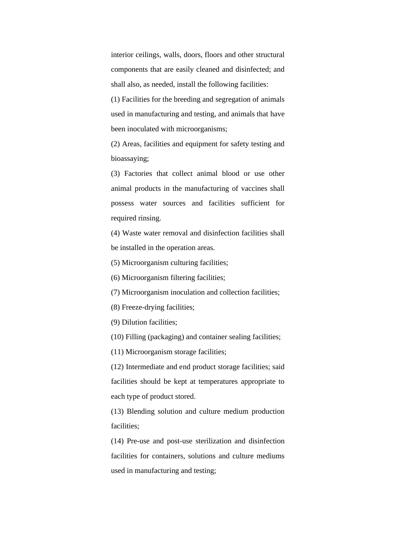interior ceilings, walls, doors, floors and other structural components that are easily cleaned and disinfected; and shall also, as needed, install the following facilities:

(1) Facilities for the breeding and segregation of animals used in manufacturing and testing, and animals that have been inoculated with microorganisms;

(2) Areas, facilities and equipment for safety testing and bioassaying;

(3) Factories that collect animal blood or use other animal products in the manufacturing of vaccines shall possess water sources and facilities sufficient for required rinsing.

(4) Waste water removal and disinfection facilities shall be installed in the operation areas.

(5) Microorganism culturing facilities;

(6) Microorganism filtering facilities;

(7) Microorganism inoculation and collection facilities;

(8) Freeze-drying facilities;

(9) Dilution facilities;

(10) Filling (packaging) and container sealing facilities;

(11) Microorganism storage facilities;

(12) Intermediate and end product storage facilities; said facilities should be kept at temperatures appropriate to each type of product stored.

(13) Blending solution and culture medium production facilities;

(14) Pre-use and post-use sterilization and disinfection facilities for containers, solutions and culture mediums used in manufacturing and testing;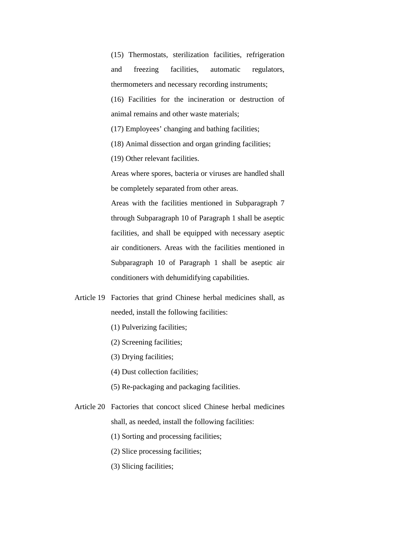(15) Thermostats, sterilization facilities, refrigeration and freezing facilities, automatic regulators, thermometers and necessary recording instruments; (16) Facilities for the incineration or destruction of animal remains and other waste materials;

(17) Employees' changing and bathing facilities;

(18) Animal dissection and organ grinding facilities;

(19) Other relevant facilities.

Areas where spores, bacteria or viruses are handled shall be completely separated from other areas.

Areas with the facilities mentioned in Subparagraph 7 through Subparagraph 10 of Paragraph 1 shall be aseptic facilities, and shall be equipped with necessary aseptic air conditioners. Areas with the facilities mentioned in Subparagraph 10 of Paragraph 1 shall be aseptic air conditioners with dehumidifying capabilities.

- Article 19 Factories that grind Chinese herbal medicines shall, as needed, install the following facilities:
	- (1) Pulverizing facilities;
	- (2) Screening facilities;
	- (3) Drying facilities;
	- (4) Dust collection facilities;
	- (5) Re-packaging and packaging facilities.
- Article 20 Factories that concoct sliced Chinese herbal medicines shall, as needed, install the following facilities:
	- (1) Sorting and processing facilities;
	- (2) Slice processing facilities;
	- (3) Slicing facilities;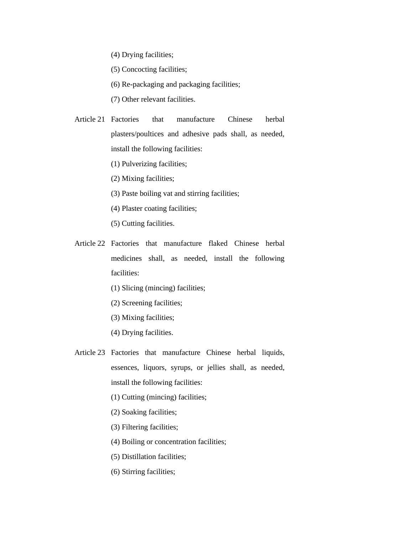(4) Drying facilities;

(5) Concocting facilities;

(6) Re-packaging and packaging facilities;

(7) Other relevant facilities.

Article 21 Factories that manufacture Chinese herbal plasters/poultices and adhesive pads shall, as needed, install the following facilities:

(1) Pulverizing facilities;

(2) Mixing facilities;

- (3) Paste boiling vat and stirring facilities;
- (4) Plaster coating facilities;
- (5) Cutting facilities.
- Article 22 Factories that manufacture flaked Chinese herbal medicines shall, as needed, install the following facilities:
	- (1) Slicing (mincing) facilities;
	- (2) Screening facilities;
	- (3) Mixing facilities;
	- (4) Drying facilities.
- Article 23 Factories that manufacture Chinese herbal liquids, essences, liquors, syrups, or jellies shall, as needed, install the following facilities:
	- (1) Cutting (mincing) facilities;
	- (2) Soaking facilities;
	- (3) Filtering facilities;
	- (4) Boiling or concentration facilities;
	- (5) Distillation facilities;
	- (6) Stirring facilities;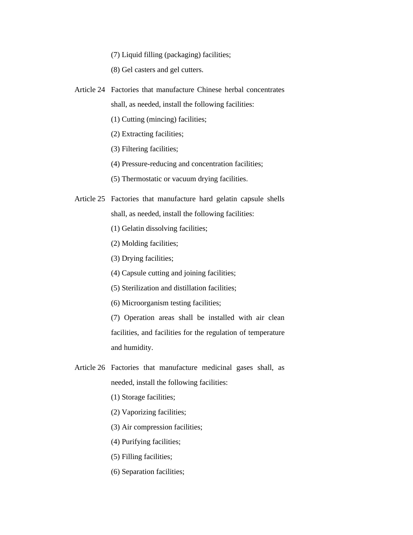(7) Liquid filling (packaging) facilities;

(8) Gel casters and gel cutters.

- Article 24 Factories that manufacture Chinese herbal concentrates shall, as needed, install the following facilities:
	- (1) Cutting (mincing) facilities;
	- (2) Extracting facilities;
	- (3) Filtering facilities;
	- (4) Pressure-reducing and concentration facilities;
	- (5) Thermostatic or vacuum drying facilities.
- Article 25 Factories that manufacture hard gelatin capsule shells shall, as needed, install the following facilities:
	- (1) Gelatin dissolving facilities;
	- (2) Molding facilities;
	- (3) Drying facilities;
	- (4) Capsule cutting and joining facilities;
	- (5) Sterilization and distillation facilities;
	- (6) Microorganism testing facilities;

(7) Operation areas shall be installed with air clean facilities, and facilities for the regulation of temperature and humidity.

- Article 26 Factories that manufacture medicinal gases shall, as needed, install the following facilities:
	- (1) Storage facilities;
	- (2) Vaporizing facilities;
	- (3) Air compression facilities;
	- (4) Purifying facilities;
	- (5) Filling facilities;
	- (6) Separation facilities;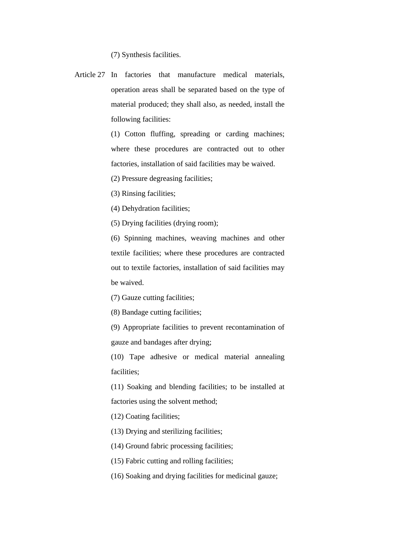(7) Synthesis facilities.

Article 27 In factories that manufacture medical materials, operation areas shall be separated based on the type of material produced; they shall also, as needed, install the following facilities:

> (1) Cotton fluffing, spreading or carding machines; where these procedures are contracted out to other factories, installation of said facilities may be waived.

(2) Pressure degreasing facilities;

(3) Rinsing facilities;

(4) Dehydration facilities;

(5) Drying facilities (drying room);

(6) Spinning machines, weaving machines and other textile facilities; where these procedures are contracted out to textile factories, installation of said facilities may be waived.

(7) Gauze cutting facilities;

(8) Bandage cutting facilities;

(9) Appropriate facilities to prevent recontamination of gauze and bandages after drying;

(10) Tape adhesive or medical material annealing facilities;

(11) Soaking and blending facilities; to be installed at factories using the solvent method;

(12) Coating facilities;

(13) Drying and sterilizing facilities;

(14) Ground fabric processing facilities;

(15) Fabric cutting and rolling facilities;

(16) Soaking and drying facilities for medicinal gauze;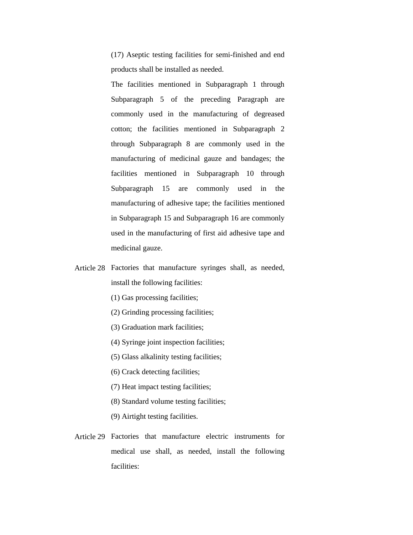(17) Aseptic testing facilities for semi-finished and end products shall be installed as needed.

The facilities mentioned in Subparagraph 1 through Subparagraph 5 of the preceding Paragraph are commonly used in the manufacturing of degreased cotton; the facilities mentioned in Subparagraph 2 through Subparagraph 8 are commonly used in the manufacturing of medicinal gauze and bandages; the facilities mentioned in Subparagraph 10 through Subparagraph 15 are commonly used in the manufacturing of adhesive tape; the facilities mentioned in Subparagraph 15 and Subparagraph 16 are commonly used in the manufacturing of first aid adhesive tape and medicinal gauze.

- Article 28 Factories that manufacture syringes shall, as needed, install the following facilities:
	- (1) Gas processing facilities;
	- (2) Grinding processing facilities;
	- (3) Graduation mark facilities;
	- (4) Syringe joint inspection facilities;
	- (5) Glass alkalinity testing facilities;
	- (6) Crack detecting facilities;
	- (7) Heat impact testing facilities;
	- (8) Standard volume testing facilities;
	- (9) Airtight testing facilities.
- Article 29 Factories that manufacture electric instruments for medical use shall, as needed, install the following facilities: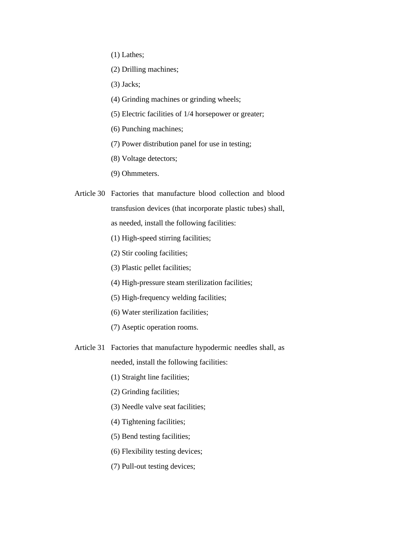- (1) Lathes;
- (2) Drilling machines;
- (3) Jacks;
- (4) Grinding machines or grinding wheels;
- (5) Electric facilities of 1/4 horsepower or greater;
- (6) Punching machines;
- (7) Power distribution panel for use in testing;
- (8) Voltage detectors;
- (9) Ohmmeters.
- Article 30 Factories that manufacture blood collection and blood transfusion devices (that incorporate plastic tubes) shall, as needed, install the following facilities:
	- (1) High-speed stirring facilities;
	- (2) Stir cooling facilities;
	- (3) Plastic pellet facilities;
	- (4) High-pressure steam sterilization facilities;
	- (5) High-frequency welding facilities;
	- (6) Water sterilization facilities;
	- (7) Aseptic operation rooms.
- Article 31 Factories that manufacture hypodermic needles shall, as

needed, install the following facilities:

- (1) Straight line facilities;
- (2) Grinding facilities;
- (3) Needle valve seat facilities;
- (4) Tightening facilities;
- (5) Bend testing facilities;
- (6) Flexibility testing devices;
- (7) Pull-out testing devices;